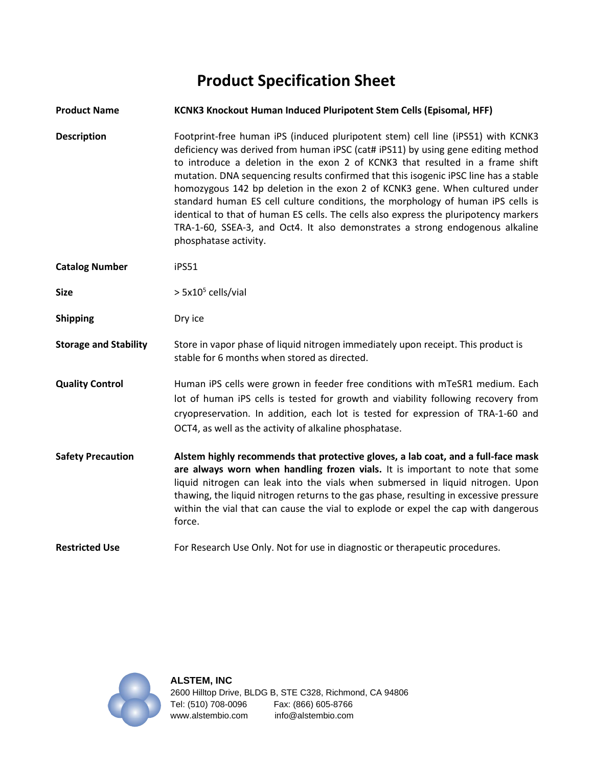# **Product Specification Sheet**

| <b>Product Name</b>          | <b>KCNK3 Knockout Human Induced Pluripotent Stem Cells (Episomal, HFF)</b>                                                                                                                                                                                                                                                                                                                                                                                                                                                                                                                                                                                                                                        |
|------------------------------|-------------------------------------------------------------------------------------------------------------------------------------------------------------------------------------------------------------------------------------------------------------------------------------------------------------------------------------------------------------------------------------------------------------------------------------------------------------------------------------------------------------------------------------------------------------------------------------------------------------------------------------------------------------------------------------------------------------------|
| <b>Description</b>           | Footprint-free human iPS (induced pluripotent stem) cell line (iPS51) with KCNK3<br>deficiency was derived from human iPSC (cat# iPS11) by using gene editing method<br>to introduce a deletion in the exon 2 of KCNK3 that resulted in a frame shift<br>mutation. DNA sequencing results confirmed that this isogenic iPSC line has a stable<br>homozygous 142 bp deletion in the exon 2 of KCNK3 gene. When cultured under<br>standard human ES cell culture conditions, the morphology of human iPS cells is<br>identical to that of human ES cells. The cells also express the pluripotency markers<br>TRA-1-60, SSEA-3, and Oct4. It also demonstrates a strong endogenous alkaline<br>phosphatase activity. |
| <b>Catalog Number</b>        | iPS51                                                                                                                                                                                                                                                                                                                                                                                                                                                                                                                                                                                                                                                                                                             |
| <b>Size</b>                  | $> 5x105$ cells/vial                                                                                                                                                                                                                                                                                                                                                                                                                                                                                                                                                                                                                                                                                              |
| <b>Shipping</b>              | Dry ice                                                                                                                                                                                                                                                                                                                                                                                                                                                                                                                                                                                                                                                                                                           |
| <b>Storage and Stability</b> | Store in vapor phase of liquid nitrogen immediately upon receipt. This product is<br>stable for 6 months when stored as directed.                                                                                                                                                                                                                                                                                                                                                                                                                                                                                                                                                                                 |
| <b>Quality Control</b>       | Human iPS cells were grown in feeder free conditions with mTeSR1 medium. Each<br>lot of human iPS cells is tested for growth and viability following recovery from<br>cryopreservation. In addition, each lot is tested for expression of TRA-1-60 and<br>OCT4, as well as the activity of alkaline phosphatase.                                                                                                                                                                                                                                                                                                                                                                                                  |
| <b>Safety Precaution</b>     | Alstem highly recommends that protective gloves, a lab coat, and a full-face mask<br>are always worn when handling frozen vials. It is important to note that some<br>liquid nitrogen can leak into the vials when submersed in liquid nitrogen. Upon<br>thawing, the liquid nitrogen returns to the gas phase, resulting in excessive pressure<br>within the vial that can cause the vial to explode or expel the cap with dangerous<br>force.                                                                                                                                                                                                                                                                   |
| <b>Restricted Use</b>        | For Research Use Only. Not for use in diagnostic or therapeutic procedures.                                                                                                                                                                                                                                                                                                                                                                                                                                                                                                                                                                                                                                       |

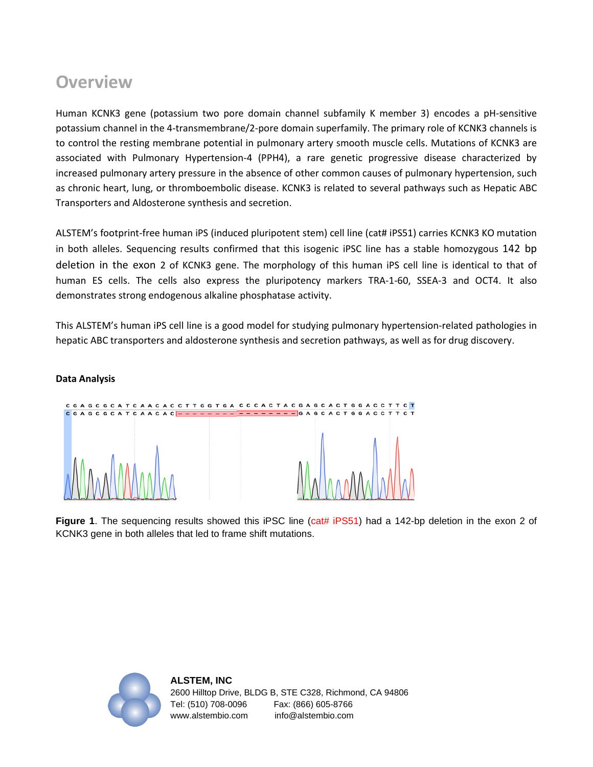## **Overview**

**Data Analysis**

Human KCNK3 gene (potassium two pore domain channel subfamily K member 3) encodes a pH-sensitive potassium channel in the 4-transmembrane/2-pore domain superfamily. The primary role of KCNK3 channels is to control the resting membrane potential in pulmonary artery smooth muscle cells. Mutations of KCNK3 are associated with Pulmonary Hypertension-4 (PPH4), a rare genetic progressive disease characterized by increased pulmonary artery pressure in the absence of other common causes of pulmonary hypertension, such as chronic heart, lung, or thromboembolic disease. KCNK3 is related to several pathways such as Hepatic ABC Transporters and Aldosterone synthesis and secretion.

ALSTEM's footprint-free human iPS (induced pluripotent stem) cell line (cat# iPS51) carries KCNK3 KO mutation in both alleles. Sequencing results confirmed that this isogenic iPSC line has a stable homozygous 142 bp deletion in the exon 2 of KCNK3 gene. The morphology of this human iPS cell line is identical to that of human ES cells. The cells also express the pluripotency markers TRA-1-60, SSEA-3 and OCT4. It also demonstrates strong endogenous alkaline phosphatase activity.

This ALSTEM's human iPS cell line is a good model for studying pulmonary hypertension-related pathologies in hepatic ABC transporters and aldosterone synthesis and secretion pathways, as well as for drug discovery.



**Figure 1**. The sequencing results showed this iPSC line (cat# iPS51) had a 142-bp deletion in the exon 2 of KCNK3 gene in both alleles that led to frame shift mutations.

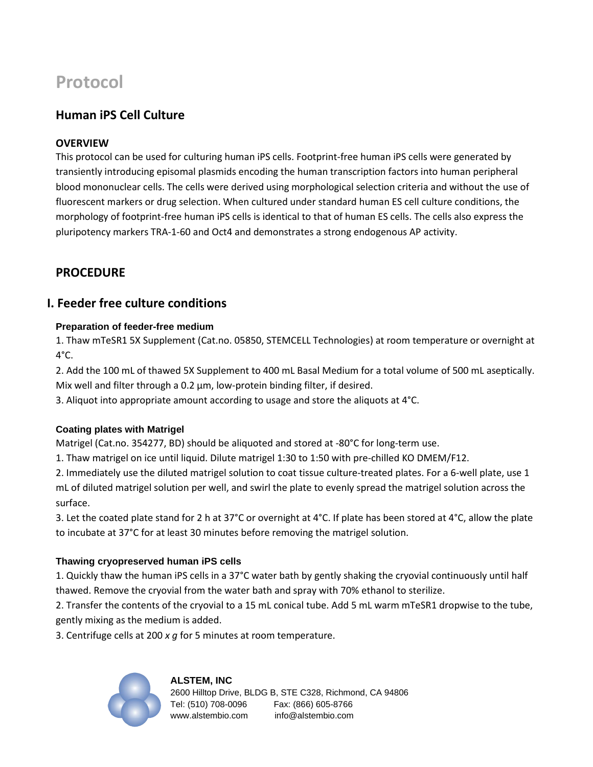# **Protocol**

## **Human iPS Cell Culture**

#### **OVERVIEW**

This protocol can be used for culturing human iPS cells. Footprint-free human iPS cells were generated by transiently introducing episomal plasmids encoding the human transcription factors into human peripheral blood mononuclear cells. The cells were derived using morphological selection criteria and without the use of fluorescent markers or drug selection. When cultured under standard human ES cell culture conditions, the morphology of footprint-free human iPS cells is identical to that of human ES cells. The cells also express the pluripotency markers TRA-1-60 and Oct4 and demonstrates a strong endogenous AP activity.

## **PROCEDURE**

### **I. Feeder free culture conditions**

#### **Preparation of feeder-free medium**

1. Thaw mTeSR1 5X Supplement (Cat.no. 05850, STEMCELL Technologies) at room temperature or overnight at  $4^{\circ}$ C.

2. Add the 100 mL of thawed 5X Supplement to 400 mL Basal Medium for a total volume of 500 mL aseptically. Mix well and filter through a 0.2 μm, low-protein binding filter, if desired.

3. Aliquot into appropriate amount according to usage and store the aliquots at 4°C.

#### **Coating plates with Matrigel**

Matrigel (Cat.no. 354277, BD) should be aliquoted and stored at -80°C for long-term use.

1. Thaw matrigel on ice until liquid. Dilute matrigel 1:30 to 1:50 with pre-chilled KO DMEM/F12.

2. Immediately use the diluted matrigel solution to coat tissue culture-treated plates. For a 6-well plate, use 1 mL of diluted matrigel solution per well, and swirl the plate to evenly spread the matrigel solution across the surface.

3. Let the coated plate stand for 2 h at 37°C or overnight at 4°C. If plate has been stored at 4°C, allow the plate to incubate at 37°C for at least 30 minutes before removing the matrigel solution.

#### **Thawing cryopreserved human iPS cells**

1. Quickly thaw the human iPS cells in a 37°C water bath by gently shaking the cryovial continuously until half thawed. Remove the cryovial from the water bath and spray with 70% ethanol to sterilize.

2. Transfer the contents of the cryovial to a 15 mL conical tube. Add 5 mL warm mTeSR1 dropwise to the tube, gently mixing as the medium is added.

3. Centrifuge cells at 200 *x g* for 5 minutes at room temperature.



### **ALSTEM, INC**  2600 Hilltop Drive, BLDG B, STE C328, Richmond, CA 94806

Tel: (510) 708-0096 Fax: (866) 605-8766 www.alstembio.com info@alstembio.com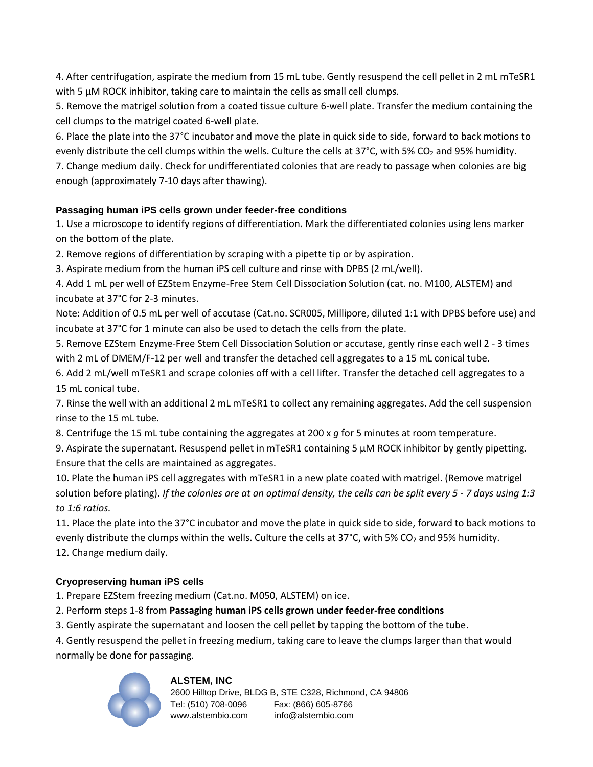4. After centrifugation, aspirate the medium from 15 mL tube. Gently resuspend the cell pellet in 2 mL mTeSR1 with 5  $\mu$ M ROCK inhibitor, taking care to maintain the cells as small cell clumps.

5. Remove the matrigel solution from a coated tissue culture 6-well plate. Transfer the medium containing the cell clumps to the matrigel coated 6-well plate.

6. Place the plate into the 37°C incubator and move the plate in quick side to side, forward to back motions to evenly distribute the cell clumps within the wells. Culture the cells at  $37^{\circ}$ C, with 5% CO<sub>2</sub> and 95% humidity.

7. Change medium daily. Check for undifferentiated colonies that are ready to passage when colonies are big enough (approximately 7-10 days after thawing).

#### **Passaging human iPS cells grown under feeder-free conditions**

1. Use a microscope to identify regions of differentiation. Mark the differentiated colonies using lens marker on the bottom of the plate.

2. Remove regions of differentiation by scraping with a pipette tip or by aspiration.

3. Aspirate medium from the human iPS cell culture and rinse with DPBS (2 mL/well).

4. Add 1 mL per well of EZStem Enzyme-Free Stem Cell Dissociation Solution (cat. no. M100, ALSTEM) and incubate at 37°C for 2-3 minutes.

Note: Addition of 0.5 mL per well of accutase (Cat.no. SCR005, Millipore, diluted 1:1 with DPBS before use) and incubate at 37°C for 1 minute can also be used to detach the cells from the plate.

5. Remove EZStem Enzyme-Free Stem Cell Dissociation Solution or accutase, gently rinse each well 2 - 3 times with 2 mL of DMEM/F-12 per well and transfer the detached cell aggregates to a 15 mL conical tube.

6. Add 2 mL/well mTeSR1 and scrape colonies off with a cell lifter. Transfer the detached cell aggregates to a 15 mL conical tube.

7. Rinse the well with an additional 2 mL mTeSR1 to collect any remaining aggregates. Add the cell suspension rinse to the 15 mL tube.

8. Centrifuge the 15 mL tube containing the aggregates at 200 x *g* for 5 minutes at room temperature.

9. Aspirate the supernatant. Resuspend pellet in mTeSR1 containing 5 µM ROCK inhibitor by gently pipetting. Ensure that the cells are maintained as aggregates.

10. Plate the human iPS cell aggregates with mTeSR1 in a new plate coated with matrigel. (Remove matrigel solution before plating). *If the colonies are at an optimal density, the cells can be split every 5 - 7 days using 1:3 to 1:6 ratios.*

11. Place the plate into the 37°C incubator and move the plate in quick side to side, forward to back motions to evenly distribute the clumps within the wells. Culture the cells at 37°C, with 5% CO<sub>2</sub> and 95% humidity. 12. Change medium daily.

### **Cryopreserving human iPS cells**

1. Prepare EZStem freezing medium (Cat.no. M050, ALSTEM) on ice.

2. Perform steps 1-8 from **Passaging human iPS cells grown under feeder-free conditions**

3. Gently aspirate the supernatant and loosen the cell pellet by tapping the bottom of the tube.

4. Gently resuspend the pellet in freezing medium, taking care to leave the clumps larger than that would normally be done for passaging.



#### **ALSTEM, INC**

2600 Hilltop Drive, BLDG B, STE C328, Richmond, CA 94806 Tel: (510) 708-0096 Fax: (866) 605-8766 www.alstembio.com info@alstembio.com